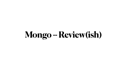# **Mongo -- Review(ish)**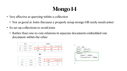## **Mongo 1-1**

- Very effective at querying within a collection
	- Not as good at Joins (because a properly setup mongo DB rarely needs joins)
- So set up collections to avoid joins
	- Rather than one-to-one relations in separate documents embedded one document within the other

| Cars |        |         | Engines |        |       |        |
|------|--------|---------|---------|--------|-------|--------|
| _id  | owner  | make    | _id     | car_id | power | consum |
| 007  | Daniel | Ferrari | 234808  | 007    | 660   | 10     |
| 008  | Daniel | Fiat    | Q08     | 008    | 120   | 45     |

#### 0R

| Cars |        |         |       |           |  |
|------|--------|---------|-------|-----------|--|
| _id  | owner  | make    | power | consumpti |  |
| 007  | Daniel | Ferrari | 660   | 10        |  |
| Q08  | Daniel | Fiat    | 120   | 45        |  |



```
"_id": 007,"owner": "Daniel",
"make": "Ferrari",
"engine": \{"power": 660hp,
     "consumption": 10mpg
```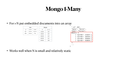## **Mongo 1-Many**

#### • For 1-N put embedded documents into an array

| Cars |        |         |  |  |
|------|--------|---------|--|--|
| _id  | owner  | make    |  |  |
| 007  | Daniel | Ferrari |  |  |
| 008  | Daniel | Fiat    |  |  |

|        | Wheels |
|--------|--------|
| $\_id$ | car_id |
| 234819 | 007    |
| 281928 | 007    |
| 392838 | 007    |
| 928038 | 007    |
| 950555 | 008    |

• Works well when N is small and relatively static

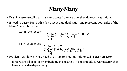#### **Many-Many**

- Examine use cases, if data is always access from one side, then do exactly as 1-Many. • If need to query from both sides, accept data duplication and represent both sides of the
- Many-Many is both places.

- Problem. As shown would need to do join to show any info on a film given an actor.
	- If represent all of actor by embedding in film and ll of film embedded within actor, then have a recursive dependency.

```
Actor Collection
                      ...}
Film Collection
                   {"film":filmID, 
                    ... }]
```
- {"actor":actorID, "name":"Mary", "films":[f1, f2, f3],
- "title":"Gone with the Ducks" "actors":[aid1, aid2, aid3],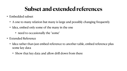## **Subset and extended references**

- Embedded subset
	-
	- A one to many relation but many is large and possibly changing frequently • Idea, embed only some of the many in the one
		- need to occasionally the "some"
- Extended Reference
	- Idea rather than just embed reference to another table, embed reference plus some key data
		- Show that key data and allow drill down from there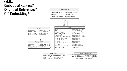#### **Sakila Embedded Subset?? Extended Reference?? Full Embedding?**





| CATEGORY_ID | NUMBER(2 |
|-------------|----------|
| NAME        | VARCHAR: |
| LAST_UPDATE | TIMESTAM |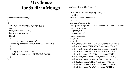#### **My Choice for Sakila in Mongo**

```
db.mgoactor.find().limit(2)
[
 {
   _id: ObjectId("624083255617ccf3e0453c3f"),
   actor: 1,
   first_name: 'PENELOPE',
   last_name: 'GUINESS',
   films: [
\{ categ: 2, catname: 'Animation',
     filmid: 23, filmname: 'ANACONDA CONFESSIONS'
 },
\{ categ: 3, catname: 'Children',
     filmid: 509, filmname: 'LANGUAGE COWBOY'
   \}, ...
]}]
```

```
sakila==>db.mgofilm.findOne(){
  _id: ObjectId("6240ec934ff1d4bc11fa36ca"),
film_id: 1, title: 'ACADEMY DINOSAUR',
 cat_id: 6,
  cat_name: 'Documentary',
```
description: 'A Epic Drama of a Feminist And a Mad Scientist who release\_year: 2006,

language\_id: 1,

language: 'English

rental\_rate: 0.99,

length: 86,

actors: [

 { aid: 1, first\_name: 'PENELOPE', last\_name: 'GUINESS' }, { aid: 10, first\_name: 'CHRISTIAN', last\_name: 'GABLE' }, { aid: 20, first\_name: 'LUCILLE', last\_name: 'TRACY' }, { aid: 30, first\_name: 'SANDRA', last\_name: 'PECK' }, { aid: 40, first\_name: 'JOHNNY', last\_name: 'CAGE' }, { aid: 53, first\_name: 'MENA', last\_name: 'TEMPLE' }, { aid: 108, first\_name: 'WARREN', last\_name: 'NOLTE' }, { aid: 162, first\_name: 'OPRAH', last\_name: 'KILMER' }, { aid: 188, first\_name: 'ROCK', last\_name: 'DUKAKIS' }, { aid: 198, first\_name: 'MARY', last\_name: 'KEITEL' }



]